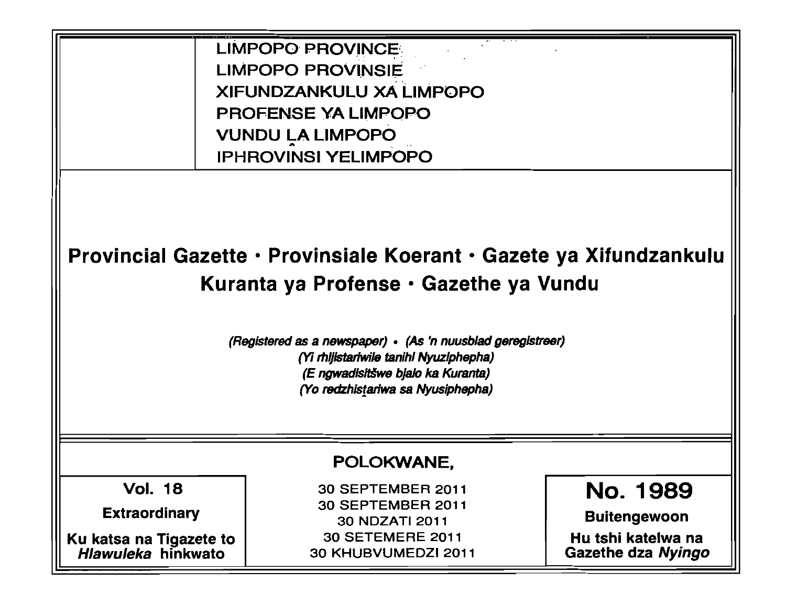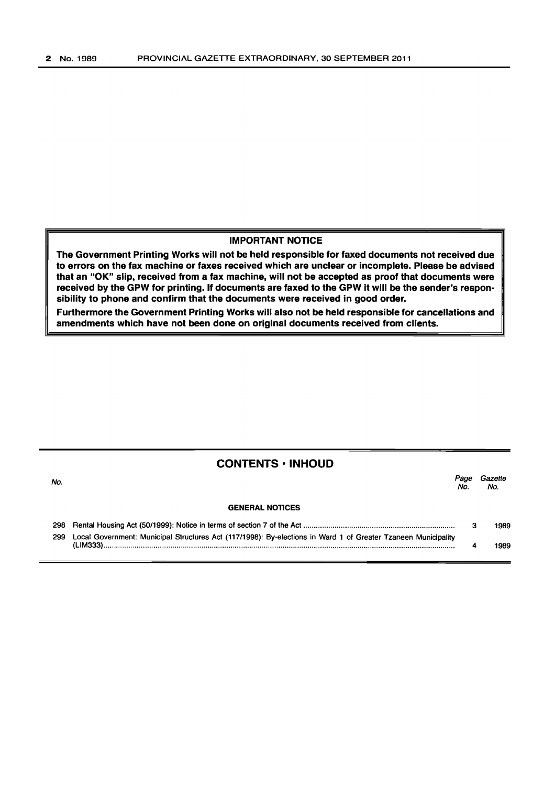#### IMPORTANT NOTICE

The Government Printing Works will not be held responsible for faxed documents not received due to errors on the fax machine or faxes received which are unclear or incomplete. Please be advised that an "OK" slip, received from a fax machine, will not be accepted as proof that documents were received by the GPW for printing. If documents are faxed to the GPW it will be the sender's responsibility to phone and confirm that the documents were received in good order.

Furthermore the Government Printing Works will also not be held responsible for cancellations and amendments which have not been done on original documents received from clients.

#### CONTENTS • INHOLID

| No. |                                                                                                               | No | Gazette<br>No. |
|-----|---------------------------------------------------------------------------------------------------------------|----|----------------|
|     | <b>GENERAL NOTICES</b>                                                                                        |    |                |
| 298 |                                                                                                               |    | 1989           |
| 299 | Local Government: Municipal Structures Act (117/1998): By-elections in Ward 1 of Greater Tzaneen Municipality |    | 1989           |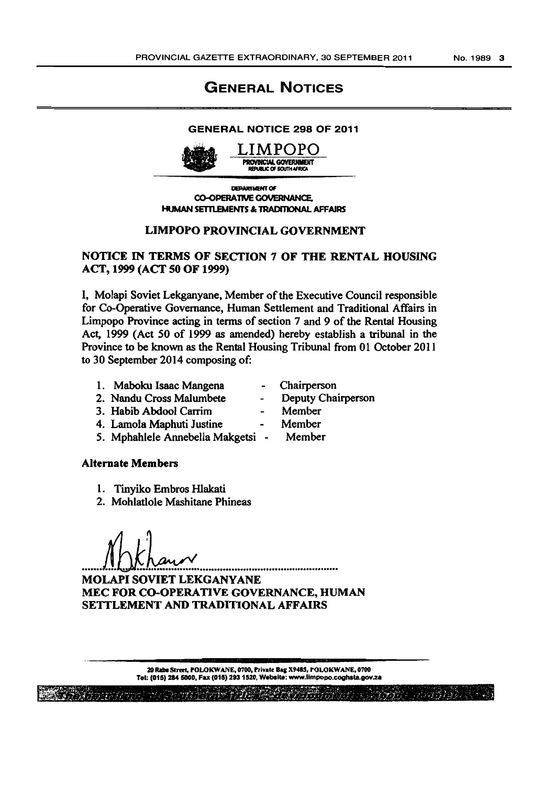# **GENERAL NOTICES**

#### **GENERAL NOTICE 298 OF 2011**



DEDARTMENT OF **CO-OPERATIVE GOVERNANCE. HUMAN SETTLEMENTS & TRADITIONAL AFFAIRS** 

### **LIMPOPO PROVINCIAL GOVERNMENT**

# NOTICE IN TERMS OF SECTION 7 OF THE RENTAL HOUSING ACT, 1999 (ACT 50 OF 1999)

I, Molapi Soviet Lekganyane, Member of the Executive Council responsible for Co-Operative Governance, Human Settlement and Traditional Affairs in Limpopo Province acting in terms of section 7 and 9 of the Rental Housing Act, 1999 (Act 50 of 1999 as amended) hereby establish a tribunal in the Province to be known as the Rental Housing Tribunal from 01 October 2011 to 30 September 2014 composing of:

- 1. Maboku Isaac Mangena
- 2. Nandu Cross Malumbete
- 3. Habib Abdool Carrim
- 4. Lamola Maphuti Justine
- 5. Mphahlele Annebella Makgetsi -

#### **Alternate Members**

- 1. Tinyiko Embros Hlakati
- 2. Mohlatlole Mashitane Phineas

**MOLAPI SOVIET LEKGANYANE** MEC FOR CO-OPERATIVE GOVERNANCE, HUMAN SETTLEMENT AND TRADITIONAL AFFAIRS

> 20 Rabe Street, POLOKWANE, 0700, Private Bag X9485, POLOKWANE, 0700 Tel: (015) 284 5000, Fax (015) 293 1520, Website: www.limpopo.coghsta.gov.za

> > フラバー ラショウショウ

Deputy Chairperson

Chairperson

- Member
- 
- Member
- Member